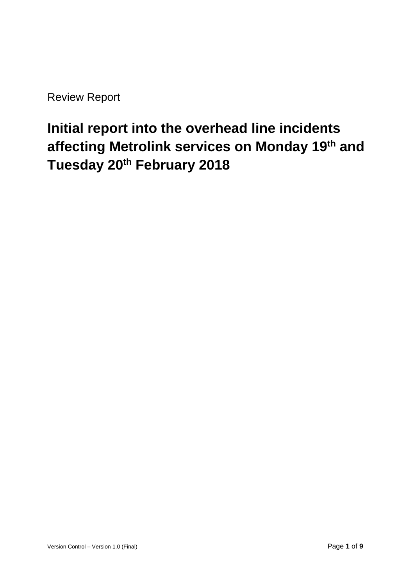Review Report

# **Initial report into the overhead line incidents affecting Metrolink services on Monday 19th and Tuesday 20th February 2018**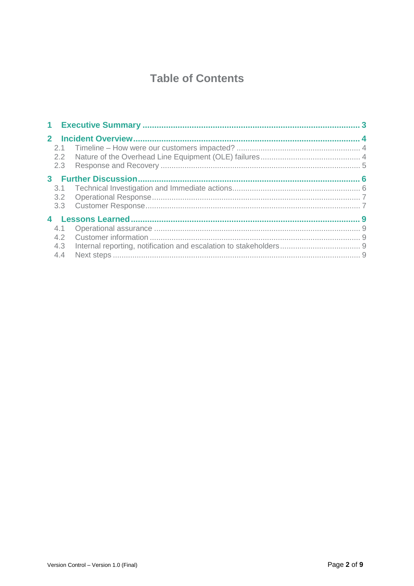# **Table of Contents**

| $\mathbf{2}$ |            |  |  |
|--------------|------------|--|--|
|              | 2.1<br>2.3 |  |  |
|              |            |  |  |
|              | 3.1        |  |  |
|              |            |  |  |
|              | 4.1        |  |  |
|              | 4.2        |  |  |
|              | 4.3        |  |  |
|              | 4.4        |  |  |
|              |            |  |  |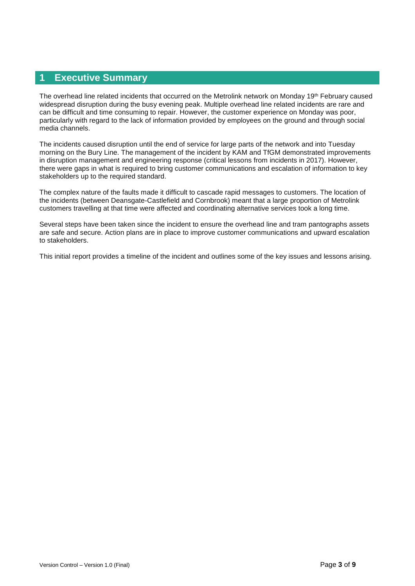#### **1 Executive Summary**

The overhead line related incidents that occurred on the Metrolink network on Monday 19<sup>th</sup> February caused widespread disruption during the busy evening peak. Multiple overhead line related incidents are rare and can be difficult and time consuming to repair. However, the customer experience on Monday was poor, particularly with regard to the lack of information provided by employees on the ground and through social media channels.

The incidents caused disruption until the end of service for large parts of the network and into Tuesday morning on the Bury Line. The management of the incident by KAM and TfGM demonstrated improvements in disruption management and engineering response (critical lessons from incidents in 2017). However, there were gaps in what is required to bring customer communications and escalation of information to key stakeholders up to the required standard.

The complex nature of the faults made it difficult to cascade rapid messages to customers. The location of the incidents (between Deansgate-Castlefield and Cornbrook) meant that a large proportion of Metrolink customers travelling at that time were affected and coordinating alternative services took a long time.

Several steps have been taken since the incident to ensure the overhead line and tram pantographs assets are safe and secure. Action plans are in place to improve customer communications and upward escalation to stakeholders.

This initial report provides a timeline of the incident and outlines some of the key issues and lessons arising.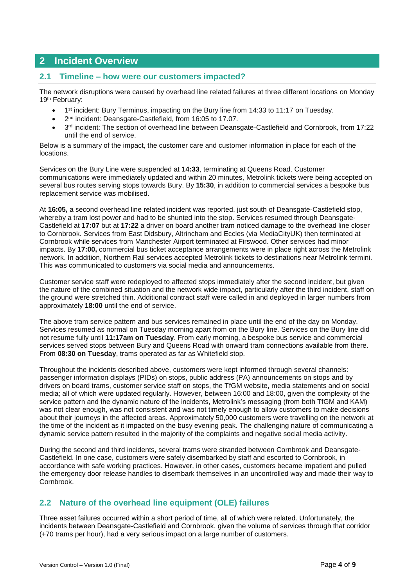# **2 Incident Overview**

#### **2.1 Timeline – how were our customers impacted?**

The network disruptions were caused by overhead line related failures at three different locations on Monday 19th February:

- 1<sup>st</sup> incident: Bury Terminus, impacting on the Bury line from 14:33 to 11:17 on Tuesday.
- 2<sup>nd</sup> incident: Deansgate-Castlefield, from 16:05 to 17.07.
- $\bullet$  3<sup>rd</sup> incident: The section of overhead line between Deansgate-Castlefield and Cornbrook, from 17:22 until the end of service.

Below is a summary of the impact, the customer care and customer information in place for each of the locations.

Services on the Bury Line were suspended at **14:33**, terminating at Queens Road. Customer communications were immediately updated and within 20 minutes, Metrolink tickets were being accepted on several bus routes serving stops towards Bury. By **15:30**, in addition to commercial services a bespoke bus replacement service was mobilised.

At **16:05,** a second overhead line related incident was reported, just south of Deansgate-Castlefield stop, whereby a tram lost power and had to be shunted into the stop. Services resumed through Deansgate-Castlefield at **17:07** but at **17:22** a driver on board another tram noticed damage to the overhead line closer to Cornbrook. Services from East Didsbury, Altrincham and Eccles (via MediaCityUK) then terminated at Cornbrook while services from Manchester Airport terminated at Firswood. Other services had minor impacts. By **17:00,** commercial bus ticket acceptance arrangements were in place right across the Metrolink network. In addition, Northern Rail services accepted Metrolink tickets to destinations near Metrolink termini. This was communicated to customers via social media and announcements.

Customer service staff were redeployed to affected stops immediately after the second incident, but given the nature of the combined situation and the network wide impact, particularly after the third incident, staff on the ground were stretched thin. Additional contract staff were called in and deployed in larger numbers from approximately **18:00** until the end of service.

The above tram service pattern and bus services remained in place until the end of the day on Monday. Services resumed as normal on Tuesday morning apart from on the Bury line. Services on the Bury line did not resume fully until **11:17am on Tuesday**. From early morning, a bespoke bus service and commercial services served stops between Bury and Queens Road with onward tram connections available from there. From **08:30 on Tuesday**, trams operated as far as Whitefield stop.

Throughout the incidents described above, customers were kept informed through several channels: passenger information displays (PIDs) on stops, public address (PA) announcements on stops and by drivers on board trams, customer service staff on stops, the TfGM website, media statements and on social media; all of which were updated regularly. However, between 16:00 and 18:00, given the complexity of the service pattern and the dynamic nature of the incidents, Metrolink's messaging (from both TfGM and KAM) was not clear enough, was not consistent and was not timely enough to allow customers to make decisions about their journeys in the affected areas. Approximately 50,000 customers were travelling on the network at the time of the incident as it impacted on the busy evening peak. The challenging nature of communicating a dynamic service pattern resulted in the majority of the complaints and negative social media activity.

During the second and third incidents, several trams were stranded between Cornbrook and Deansgate-Castlefield. In one case, customers were safely disembarked by staff and escorted to Cornbrook, in accordance with safe working practices. However, in other cases, customers became impatient and pulled the emergency door release handles to disembark themselves in an uncontrolled way and made their way to Cornbrook.

## **2.2 Nature of the overhead line equipment (OLE) failures**

Three asset failures occurred within a short period of time, all of which were related. Unfortunately, the incidents between Deansgate-Castlefield and Cornbrook, given the volume of services through that corridor (+70 trams per hour), had a very serious impact on a large number of customers.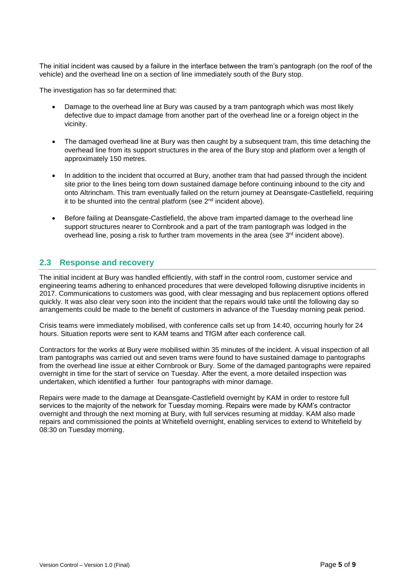The initial incident was caused by a failure in the interface between the tram's pantograph (on the roof of the vehicle) and the overhead line on a section of line immediately south of the Bury stop.

The investigation has so far determined that:

- Damage to the overhead line at Bury was caused by a tram pantograph which was most likely defective due to impact damage from another part of the overhead line or a foreign object in the vicinity.
- The damaged overhead line at Bury was then caught by a subsequent tram, this time detaching the overhead line from its support structures in the area of the Bury stop and platform over a length of approximately 150 metres.
- In addition to the incident that occurred at Bury, another tram that had passed through the incident site prior to the lines being torn down sustained damage before continuing inbound to the city and onto Altrincham. This tram eventually failed on the return journey at Deansgate-Castlefield, requiring it to be shunted into the central platform (see  $2<sup>nd</sup>$  incident above).
- Before failing at Deansgate-Castlefield, the above tram imparted damage to the overhead line support structures nearer to Cornbrook and a part of the tram pantograph was lodged in the overhead line, posing a risk to further tram movements in the area (see  $3<sup>rd</sup>$  incident above).

## **2.3 Response and recovery**

The initial incident at Bury was handled efficiently, with staff in the control room, customer service and engineering teams adhering to enhanced procedures that were developed following disruptive incidents in 2017. Communications to customers was good, with clear messaging and bus replacement options offered quickly. It was also clear very soon into the incident that the repairs would take until the following day so arrangements could be made to the benefit of customers in advance of the Tuesday morning peak period.

Crisis teams were immediately mobilised, with conference calls set up from 14:40, occurring hourly for 24 hours. Situation reports were sent to KAM teams and TfGM after each conference call.

Contractors for the works at Bury were mobilised within 35 minutes of the incident. A visual inspection of all tram pantographs was carried out and seven trams were found to have sustained damage to pantographs from the overhead line issue at either Cornbrook or Bury. Some of the damaged pantographs were repaired overnight in time for the start of service on Tuesday. After the event, a more detailed inspection was undertaken, which identified a further four pantographs with minor damage.

Repairs were made to the damage at Deansgate-Castlefield overnight by KAM in order to restore full services to the majority of the network for Tuesday morning. Repairs were made by KAM's contractor overnight and through the next morning at Bury, with full services resuming at midday. KAM also made repairs and commissioned the points at Whitefield overnight, enabling services to extend to Whitefield by 08:30 on Tuesday morning.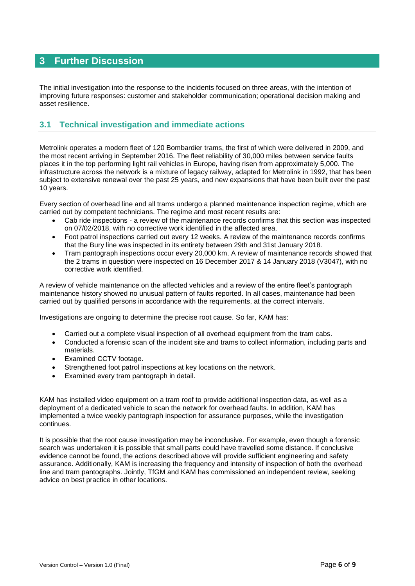# **3 Further Discussion**

The initial investigation into the response to the incidents focused on three areas, with the intention of improving future responses: customer and stakeholder communication; operational decision making and asset resilience.

## **3.1 Technical investigation and immediate actions**

Metrolink operates a modern fleet of 120 Bombardier trams, the first of which were delivered in 2009, and the most recent arriving in September 2016. The fleet reliability of 30,000 miles between service faults places it in the top performing light rail vehicles in Europe, having risen from approximately 5,000. The infrastructure across the network is a mixture of legacy railway, adapted for Metrolink in 1992, that has been subject to extensive renewal over the past 25 years, and new expansions that have been built over the past 10 years.

Every section of overhead line and all trams undergo a planned maintenance inspection regime, which are carried out by competent technicians. The regime and most recent results are:

- Cab ride inspections a review of the maintenance records confirms that this section was inspected on 07/02/2018, with no corrective work identified in the affected area.
- Foot patrol inspections carried out every 12 weeks. A review of the maintenance records confirms that the Bury line was inspected in its entirety between 29th and 31st January 2018.
- Tram pantograph inspections occur every 20,000 km. A review of maintenance records showed that the 2 trams in question were inspected on 16 December 2017 & 14 January 2018 (V3047), with no corrective work identified.

A review of vehicle maintenance on the affected vehicles and a review of the entire fleet's pantograph maintenance history showed no unusual pattern of faults reported. In all cases, maintenance had been carried out by qualified persons in accordance with the requirements, at the correct intervals.

Investigations are ongoing to determine the precise root cause. So far, KAM has:

- Carried out a complete visual inspection of all overhead equipment from the tram cabs.
- Conducted a forensic scan of the incident site and trams to collect information, including parts and materials.
- Examined CCTV footage.
- Strengthened foot patrol inspections at key locations on the network.
- Examined every tram pantograph in detail.

KAM has installed video equipment on a tram roof to provide additional inspection data, as well as a deployment of a dedicated vehicle to scan the network for overhead faults. In addition, KAM has implemented a twice weekly pantograph inspection for assurance purposes, while the investigation continues.

It is possible that the root cause investigation may be inconclusive. For example, even though a forensic search was undertaken it is possible that small parts could have travelled some distance. If conclusive evidence cannot be found, the actions described above will provide sufficient engineering and safety assurance. Additionally, KAM is increasing the frequency and intensity of inspection of both the overhead line and tram pantographs. Jointly, TfGM and KAM has commissioned an independent review, seeking advice on best practice in other locations.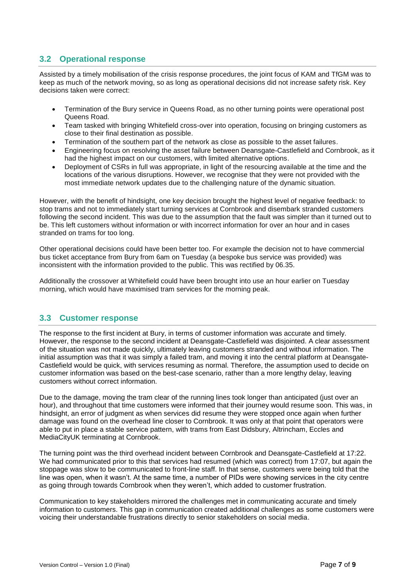## **3.2 Operational response**

Assisted by a timely mobilisation of the crisis response procedures, the joint focus of KAM and TfGM was to keep as much of the network moving, so as long as operational decisions did not increase safety risk. Key decisions taken were correct:

- Termination of the Bury service in Queens Road, as no other turning points were operational post Queens Road.
- Team tasked with bringing Whitefield cross-over into operation, focusing on bringing customers as close to their final destination as possible.
- Termination of the southern part of the network as close as possible to the asset failures.
- Engineering focus on resolving the asset failure between Deansgate-Castlefield and Cornbrook, as it had the highest impact on our customers, with limited alternative options.
- Deployment of CSRs in full was appropriate, in light of the resourcing available at the time and the locations of the various disruptions. However, we recognise that they were not provided with the most immediate network updates due to the challenging nature of the dynamic situation.

However, with the benefit of hindsight, one key decision brought the highest level of negative feedback: to stop trams and not to immediately start turning services at Cornbrook and disembark stranded customers following the second incident. This was due to the assumption that the fault was simpler than it turned out to be. This left customers without information or with incorrect information for over an hour and in cases stranded on trams for too long.

Other operational decisions could have been better too. For example the decision not to have commercial bus ticket acceptance from Bury from 6am on Tuesday (a bespoke bus service was provided) was inconsistent with the information provided to the public. This was rectified by 06.35.

Additionally the crossover at Whitefield could have been brought into use an hour earlier on Tuesday morning, which would have maximised tram services for the morning peak.

#### **3.3 Customer response**

The response to the first incident at Bury, in terms of customer information was accurate and timely. However, the response to the second incident at Deansgate-Castlefield was disjointed. A clear assessment of the situation was not made quickly, ultimately leaving customers stranded and without information. The initial assumption was that it was simply a failed tram, and moving it into the central platform at Deansgate-Castlefield would be quick, with services resuming as normal. Therefore, the assumption used to decide on customer information was based on the best-case scenario, rather than a more lengthy delay, leaving customers without correct information.

Due to the damage, moving the tram clear of the running lines took longer than anticipated (just over an hour), and throughout that time customers were informed that their journey would resume soon. This was, in hindsight, an error of judgment as when services did resume they were stopped once again when further damage was found on the overhead line closer to Cornbrook. It was only at that point that operators were able to put in place a stable service pattern, with trams from East Didsbury, Altrincham, Eccles and MediaCityUK terminating at Cornbrook.

The turning point was the third overhead incident between Cornbrook and Deansgate-Castlefield at 17:22. We had communicated prior to this that services had resumed (which was correct) from 17:07, but again the stoppage was slow to be communicated to front-line staff. In that sense, customers were being told that the line was open, when it wasn't. At the same time, a number of PIDs were showing services in the city centre as going through towards Cornbrook when they weren't, which added to customer frustration.

Communication to key stakeholders mirrored the challenges met in communicating accurate and timely information to customers. This gap in communication created additional challenges as some customers were voicing their understandable frustrations directly to senior stakeholders on social media.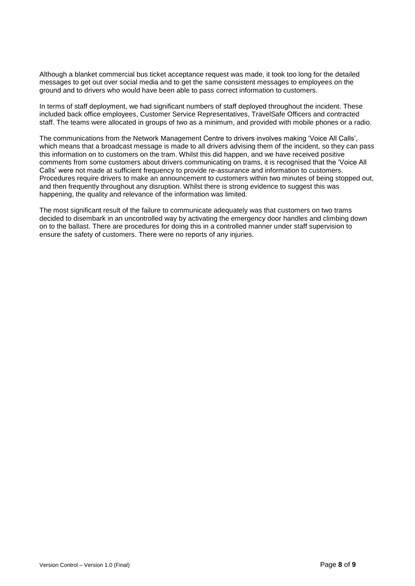Although a blanket commercial bus ticket acceptance request was made, it took too long for the detailed messages to get out over social media and to get the same consistent messages to employees on the ground and to drivers who would have been able to pass correct information to customers.

In terms of staff deployment, we had significant numbers of staff deployed throughout the incident. These included back office employees, Customer Service Representatives, TravelSafe Officers and contracted staff. The teams were allocated in groups of two as a minimum, and provided with mobile phones or a radio.

The communications from the Network Management Centre to drivers involves making 'Voice All Calls', which means that a broadcast message is made to all drivers advising them of the incident, so they can pass this information on to customers on the tram. Whilst this did happen, and we have received positive comments from some customers about drivers communicating on trams, it is recognised that the 'Voice All Calls' were not made at sufficient frequency to provide re-assurance and information to customers. Procedures require drivers to make an announcement to customers within two minutes of being stopped out, and then frequently throughout any disruption. Whilst there is strong evidence to suggest this was happening, the quality and relevance of the information was limited.

The most significant result of the failure to communicate adequately was that customers on two trams decided to disembark in an uncontrolled way by activating the emergency door handles and climbing down on to the ballast. There are procedures for doing this in a controlled manner under staff supervision to ensure the safety of customers. There were no reports of any injuries.